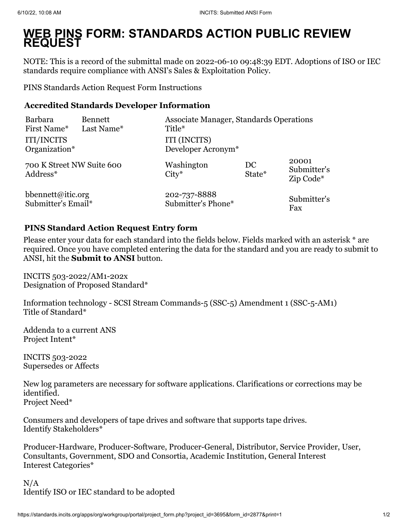## **WEB PINS FORM: STANDARDS ACTION PUBLIC REVIEW REQUEST**

NOTE: This is a record of the submittal made on 2022-06-10 09:48:39 EDT. Adoptions of ISO or IEC standards require compliance with ANSI's Sales & Exploitation Policy.

[PINS Standards Action Request Form Instructions](https://ansi.org/portal/psawebforms/PINS_Form)

## **Accredited Standards Developer Information**

| <b>Barbara</b>                        | <b>Bennett</b> | <b>Associate Manager, Standards Operations</b> |              |                                   |
|---------------------------------------|----------------|------------------------------------------------|--------------|-----------------------------------|
| First Name*                           | Last Name*     | Title*                                         |              |                                   |
| <b>ITI/INCITS</b>                     |                | ITI (INCITS)                                   |              |                                   |
| Organization*                         |                | Developer Acronym <sup>*</sup>                 |              |                                   |
| 700 K Street NW Suite 600<br>Address* |                | Washington<br>$City*$                          | DC<br>State* | 20001<br>Submitter's<br>Zip Code* |
| bbennett@itic.org                     |                | 202-737-8888                                   |              | Submitter's                       |
| Submitter's Email*                    |                | Submitter's Phone*                             |              | Fax                               |

## **PINS Standard Action Request Entry form**

Please enter your data for each standard into the fields below. Fields marked with an asterisk \* are required. Once you have completed entering the data for the standard and you are ready to submit to ANSI, hit the **Submit to ANSI** button.

INCITS 503-2022/AM1-202x Designation of Proposed Standard\*

Information technology - SCSI Stream Commands-5 (SSC-5) Amendment 1 (SSC-5-AM1) Title of Standard\*

Addenda to a current ANS Project Intent\*

INCITS 503-2022 Supersedes or Affects

New log parameters are necessary for software applications. Clarifications or corrections may be identified. Project Need\*

Consumers and developers of tape drives and software that supports tape drives. Identify Stakeholders\*

Producer-Hardware, Producer-Software, Producer-General, Distributor, Service Provider, User, Consultants, Government, SDO and Consortia, Academic Institution, General Interest Interest Categories\*

 $N/A$ Identify ISO or IEC standard to be adopted